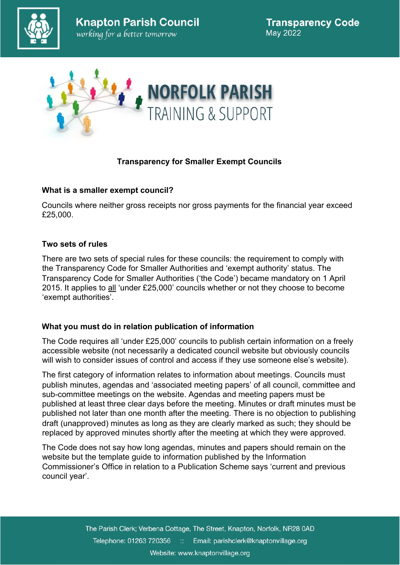



# **Transparency for Smaller Exempt Councils**

## **What is a smaller exempt council?**

Councils where neither gross receipts nor gross payments for the financial year exceed £25,000.

## **Two sets of rules**

There are two sets of special rules for these councils: the requirement to comply with the Transparency Code for Smaller Authorities and 'exempt authority' status. The Transparency Code for Smaller Authorities ('the Code') became mandatory on 1 April 2015. It applies to all 'under £25,000' councils whether or not they choose to become 'exempt authorities'.

# **What you must do in relation publication of information**

The Code requires all 'under £25,000' councils to publish certain information on a freely accessible website (not necessarily a dedicated council website but obviously councils will wish to consider issues of control and access if they use someone else's website).

The first category of information relates to information about meetings. Councils must publish minutes, agendas and 'associated meeting papers' of all council, committee and sub-committee meetings on the website. Agendas and meeting papers must be published at least three clear days before the meeting. Minutes or draft minutes must be published not later than one month after the meeting. There is no objection to publishing draft (unapproved) minutes as long as they are clearly marked as such; they should be replaced by approved minutes shortly after the meeting at which they were approved.

The Code does not say how long agendas, minutes and papers should remain on the website but the template guide to information published by the Information Commissioner's Office in relation to a Publication Scheme says 'current and previous council year'.

> The Parish Clerk; Verbena Cottage, The Street, Knapton, Norfolk, NR28 0AD Telephone: 01263 720356 :: Email: parishclerk@knaptonvillage.org Website: www.knaptonvillage.org